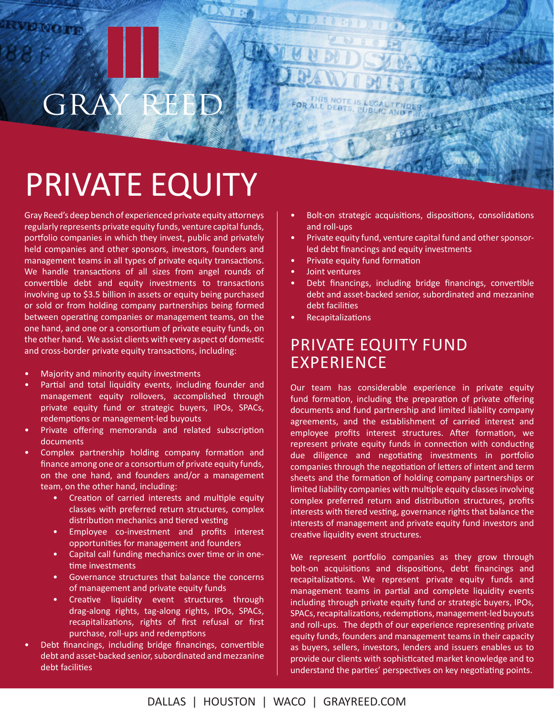### REED GRA

# PRIVATE EQUITY

Gray Reed's deep bench of experienced private equity attorneys regularly represents private equity funds, venture capital funds, portfolio companies in which they invest, public and privately held companies and other sponsors, investors, founders and management teams in all types of private equity transactions. We handle transactions of all sizes from angel rounds of convertible debt and equity investments to transactions involving up to \$3.5 billion in assets or equity being purchased or sold or from holding company partnerships being formed between operating companies or management teams, on the one hand, and one or a consortium of private equity funds, on the other hand. We assist clients with every aspect of domestic and cross-border private equity transactions, including:

- Majority and minority equity investments
- Partial and total liquidity events, including founder and management equity rollovers, accomplished through private equity fund or strategic buyers, IPOs, SPACs, redemptions or management-led buyouts
- Private offering memoranda and related subscription documents
- Complex partnership holding company formation and finance among one or a consortium of private equity funds, on the one hand, and founders and/or a management team, on the other hand, including:
	- Creation of carried interests and multiple equity classes with preferred return structures, complex distribution mechanics and tiered vesting
	- Employee co-investment and profits interest opportunities for management and founders
	- Capital call funding mechanics over time or in onetime investments
	- Governance structures that balance the concerns of management and private equity funds
	- Creative liquidity event structures through drag-along rights, tag-along rights, IPOs, SPACs, recapitalizations, rights of first refusal or first purchase, roll-ups and redemptions
- Debt financings, including bridge financings, convertible debt and asset-backed senior, subordinated and mezzanine debt facilities
- Bolt-on strategic acquisitions, dispositions, consolidations and roll-ups
- Private equity fund, venture capital fund and other sponsorled debt financings and equity investments
- Private equity fund formation
- Joint ventures
- Debt financings, including bridge financings, convertible debt and asset-backed senior, subordinated and mezzanine debt facilities
- **Recapitalizations**

#### PRIVATE EQUITY FUND **EXPERIENCE**

Our team has considerable experience in private equity fund formation, including the preparation of private offering documents and fund partnership and limited liability company agreements, and the establishment of carried interest and employee profits interest structures. After formation, we represent private equity funds in connection with conducting due diligence and negotiating investments in portfolio companies through the negotiation of letters of intent and term sheets and the formation of holding company partnerships or limited liability companies with multiple equity classes involving complex preferred return and distribution structures, profits interests with tiered vesting, governance rights that balance the interests of management and private equity fund investors and creative liquidity event structures.

We represent portfolio companies as they grow through bolt-on acquisitions and dispositions, debt financings and recapitalizations. We represent private equity funds and management teams in partial and complete liquidity events including through private equity fund or strategic buyers, IPOs, SPACs, recapitalizations, redemptions, management-led buyouts and roll-ups. The depth of our experience representing private equity funds, founders and management teams in their capacity as buyers, sellers, investors, lenders and issuers enables us to provide our clients with sophisticated market knowledge and to understand the parties' perspectives on key negotiating points.